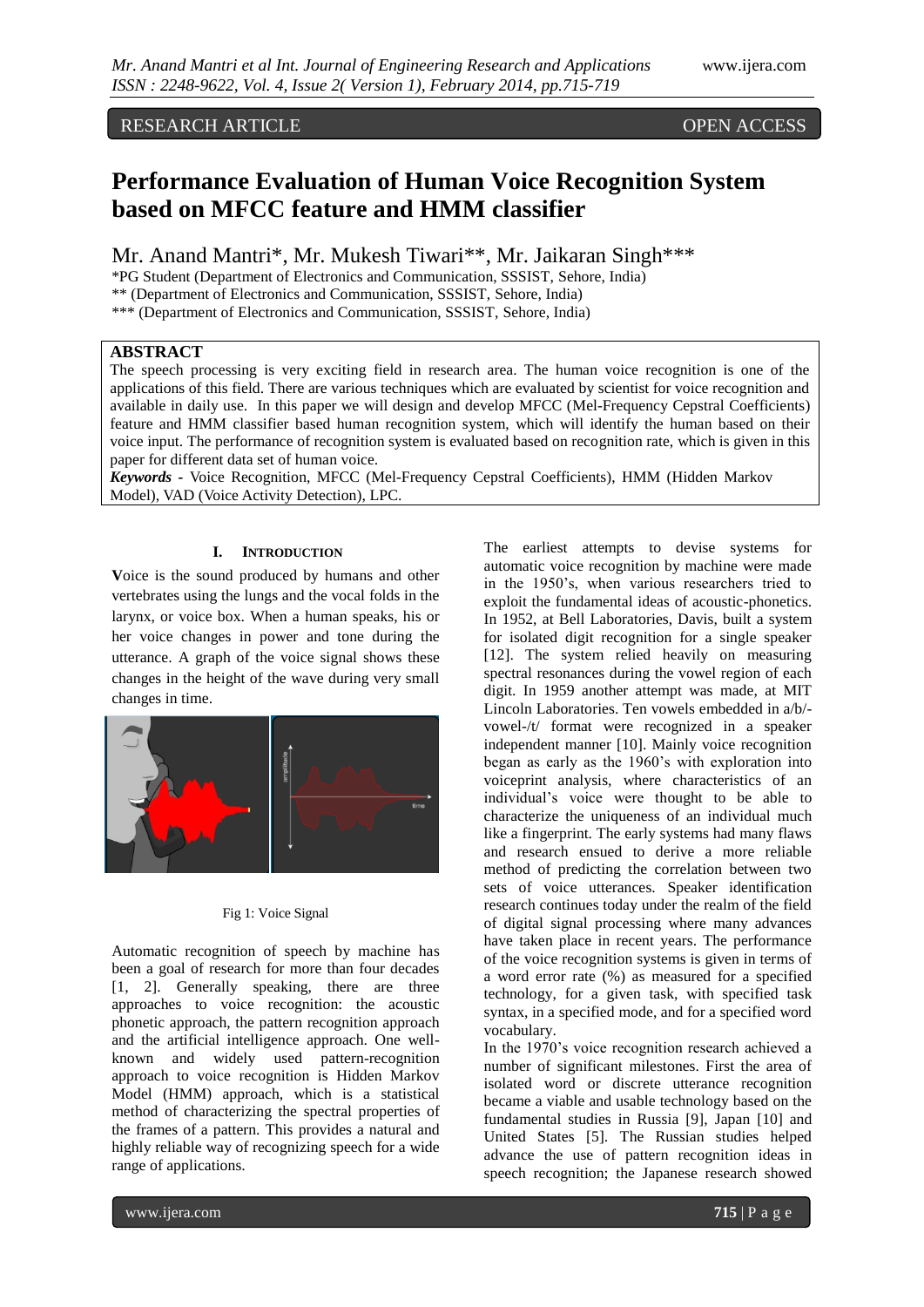# RESEARCH ARTICLE OPEN ACCESS

# **Performance Evaluation of Human Voice Recognition System based on MFCC feature and HMM classifier**

Mr. Anand Mantri\*, Mr. Mukesh Tiwari\*\*, Mr. Jaikaran Singh\*\*\*

\*PG Student (Department of Electronics and Communication, SSSIST, Sehore, India) \*\* (Department of Electronics and Communication, SSSIST, Sehore, India)

\*\*\* (Department of Electronics and Communication, SSSIST, Sehore, India)

# **ABSTRACT**

The speech processing is very exciting field in research area. The human voice recognition is one of the applications of this field. There are various techniques which are evaluated by scientist for voice recognition and available in daily use. In this paper we will design and develop MFCC (Mel-Frequency Cepstral Coefficients) feature and HMM classifier based human recognition system, which will identify the human based on their voice input. The performance of recognition system is evaluated based on recognition rate, which is given in this paper for different data set of human voice.

*Keywords -* Voice Recognition, MFCC (Mel-Frequency Cepstral Coefficients), HMM (Hidden Markov Model), VAD (Voice Activity Detection), LPC.

# **I. INTRODUCTION**

**V**oice is the sound produced by humans and other vertebrates using the lungs and the vocal folds in the larynx, or voice box. When a human speaks, his or her voice changes in power and tone during the utterance. A graph of the voice signal shows these changes in the height of the wave during very small changes in time.



### Fig 1: Voice Signal

Automatic recognition of speech by machine has been a goal of research for more than four decades [1, 2]. Generally speaking, there are three approaches to voice recognition: the acoustic phonetic approach, the pattern recognition approach and the artificial intelligence approach. One wellknown and widely used pattern-recognition approach to voice recognition is Hidden Markov Model (HMM) approach, which is a statistical method of characterizing the spectral properties of the frames of a pattern. This provides a natural and highly reliable way of recognizing speech for a wide range of applications.

The earliest attempts to devise systems for automatic voice recognition by machine were made in the 1950's, when various researchers tried to exploit the fundamental ideas of acoustic-phonetics. In 1952, at Bell Laboratories, Davis, built a system for isolated digit recognition for a single speaker [12]. The system relied heavily on measuring spectral resonances during the vowel region of each digit. In 1959 another attempt was made, at MIT Lincoln Laboratories. Ten vowels embedded in a/b/ vowel-/t/ format were recognized in a speaker independent manner [10]. Mainly voice recognition began as early as the 1960's with exploration into voiceprint analysis, where characteristics of an individual's voice were thought to be able to characterize the uniqueness of an individual much like a fingerprint. The early systems had many flaws and research ensued to derive a more reliable method of predicting the correlation between two sets of voice utterances. Speaker identification research continues today under the realm of the field of digital signal processing where many advances have taken place in recent years. The performance of the voice recognition systems is given in terms of a word error rate (%) as measured for a specified technology, for a given task, with specified task syntax, in a specified mode, and for a specified word vocabulary.

In the 1970's voice recognition research achieved a number of significant milestones. First the area of isolated word or discrete utterance recognition became a viable and usable technology based on the fundamental studies in Russia [9], Japan [10] and United States [5]. The Russian studies helped advance the use of pattern recognition ideas in speech recognition; the Japanese research showed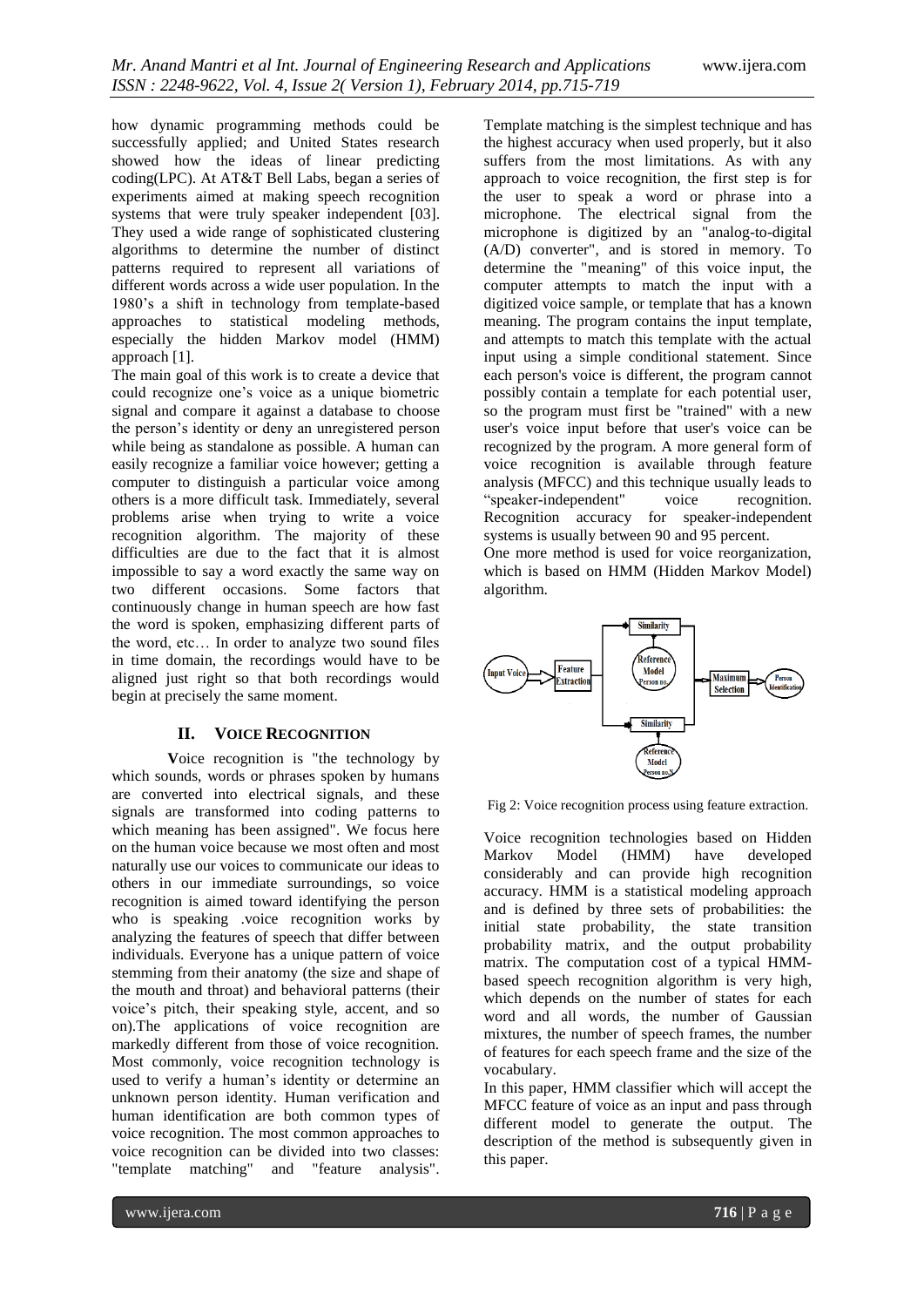how dynamic programming methods could be successfully applied; and United States research showed how the ideas of linear predicting coding(LPC). At AT&T Bell Labs, began a series of experiments aimed at making speech recognition systems that were truly speaker independent [03]. They used a wide range of sophisticated clustering algorithms to determine the number of distinct patterns required to represent all variations of different words across a wide user population. In the 1980's a shift in technology from template-based approaches to statistical modeling methods, especially the hidden Markov model (HMM) approach [1].

The main goal of this work is to create a device that could recognize one's voice as a unique biometric signal and compare it against a database to choose the person's identity or deny an unregistered person while being as standalone as possible. A human can easily recognize a familiar voice however; getting a computer to distinguish a particular voice among others is a more difficult task. Immediately, several problems arise when trying to write a voice recognition algorithm. The majority of these difficulties are due to the fact that it is almost impossible to say a word exactly the same way on two different occasions. Some factors that continuously change in human speech are how fast the word is spoken, emphasizing different parts of the word, etc… In order to analyze two sound files in time domain, the recordings would have to be aligned just right so that both recordings would begin at precisely the same moment.

## **II. VOICE RECOGNITION**

**V**oice recognition is "the technology by which sounds, words or phrases spoken by humans are converted into electrical signals, and these signals are transformed into coding patterns to which meaning has been assigned". We focus here on the human voice because we most often and most naturally use our voices to communicate our ideas to others in our immediate surroundings, so voice recognition is aimed toward identifying the person who is speaking .voice recognition works by analyzing the features of speech that differ between individuals. Everyone has a unique pattern of voice stemming from their anatomy (the size and shape of the mouth and throat) and behavioral patterns (their voice's pitch, their speaking style, accent, and so on).The applications of voice recognition are markedly different from those of voice recognition. Most commonly, voice recognition technology is used to verify a human's identity or determine an unknown person identity. Human verification and human identification are both common types of voice recognition. The most common approaches to voice recognition can be divided into two classes: "template matching" and "feature analysis". Template matching is the simplest technique and has the highest accuracy when used properly, but it also suffers from the most limitations. As with any approach to voice recognition, the first step is for the user to speak a word or phrase into a microphone. The electrical signal from the microphone is digitized by an "analog-to-digital (A/D) converter", and is stored in memory. To determine the "meaning" of this voice input, the computer attempts to match the input with a digitized voice sample, or template that has a known meaning. The program contains the input template, and attempts to match this template with the actual input using a simple conditional statement. Since each person's voice is different, the program cannot possibly contain a template for each potential user, so the program must first be "trained" with a new user's voice input before that user's voice can be recognized by the program. A more general form of voice recognition is available through feature analysis (MFCC) and this technique usually leads to "speaker-independent" voice recognition. Recognition accuracy for speaker-independent systems is usually between 90 and 95 percent.

One more method is used for voice reorganization, which is based on HMM (Hidden Markov Model) algorithm.



Fig 2: Voice recognition process using feature extraction.

Voice recognition technologies based on Hidden Markov Model (HMM) have developed considerably and can provide high recognition accuracy. HMM is a statistical modeling approach and is defined by three sets of probabilities: the initial state probability, the state transition probability matrix, and the output probability matrix. The computation cost of a typical HMMbased speech recognition algorithm is very high, which depends on the number of states for each word and all words, the number of Gaussian mixtures, the number of speech frames, the number of features for each speech frame and the size of the vocabulary.

In this paper, HMM classifier which will accept the MFCC feature of voice as an input and pass through different model to generate the output. The description of the method is subsequently given in this paper.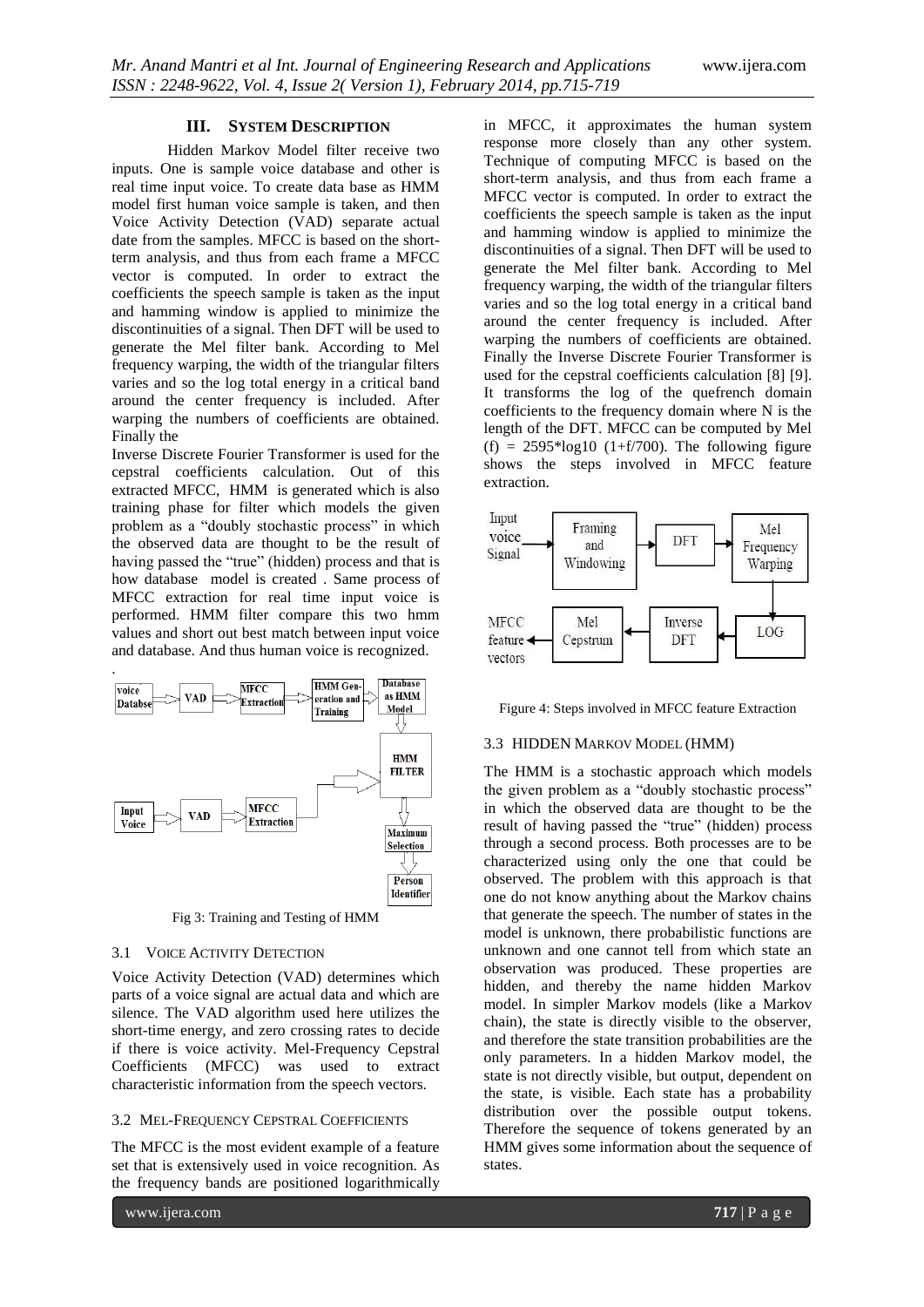### **III. SYSTEM DESCRIPTION**

Hidden Markov Model filter receive two inputs. One is sample voice database and other is real time input voice. To create data base as HMM model first human voice sample is taken, and then Voice Activity Detection (VAD) separate actual date from the samples. MFCC is based on the shortterm analysis, and thus from each frame a MFCC vector is computed. In order to extract the coefficients the speech sample is taken as the input and hamming window is applied to minimize the discontinuities of a signal. Then DFT will be used to generate the Mel filter bank. According to Mel frequency warping, the width of the triangular filters varies and so the log total energy in a critical band around the center frequency is included. After warping the numbers of coefficients are obtained. Finally the

Inverse Discrete Fourier Transformer is used for the cepstral coefficients calculation. Out of this extracted MFCC, HMM is generated which is also training phase for filter which models the given problem as a "doubly stochastic process" in which the observed data are thought to be the result of having passed the "true" (hidden) process and that is how database model is created . Same process of MFCC extraction for real time input voice is performed. HMM filter compare this two hmm values and short out best match between input voice and database. And thus human voice is recognized.



Fig 3: Training and Testing of HMM

#### 3.1 VOICE ACTIVITY DETECTION

Voice Activity Detection (VAD) determines which parts of a voice signal are actual data and which are silence. The VAD algorithm used here utilizes the short-time energy, and zero crossing rates to decide if there is voice activity. Mel-Frequency Cepstral Coefficients (MFCC) was used to extract characteristic information from the speech vectors.

### 3.2 MEL-FREQUENCY CEPSTRAL COEFFICIENTS

The MFCC is the most evident example of a feature set that is extensively used in voice recognition. As the frequency bands are positioned logarithmically

www.ijera.com **717** | P a g e

in MFCC, it approximates the human system response more closely than any other system. Technique of computing MFCC is based on the short-term analysis, and thus from each frame a MFCC vector is computed. In order to extract the coefficients the speech sample is taken as the input and hamming window is applied to minimize the discontinuities of a signal. Then DFT will be used to generate the Mel filter bank. According to Mel frequency warping, the width of the triangular filters varies and so the log total energy in a critical band around the center frequency is included. After warping the numbers of coefficients are obtained. Finally the Inverse Discrete Fourier Transformer is used for the cepstral coefficients calculation [8] [9]. It transforms the log of the quefrench domain coefficients to the frequency domain where N is the length of the DFT. MFCC can be computed by Mel  $(f) = 2595*log10$  (1+f/700). The following figure shows the steps involved in MFCC feature extraction.



Figure 4: Steps involved in MFCC feature Extraction

#### 3.3 HIDDEN MARKOV MODEL (HMM)

The HMM is a stochastic approach which models the given problem as a "doubly stochastic process" in which the observed data are thought to be the result of having passed the "true" (hidden) process through a second process. Both processes are to be characterized using only the one that could be observed. The problem with this approach is that one do not know anything about the Markov chains that generate the speech. The number of states in the model is unknown, there probabilistic functions are unknown and one cannot tell from which state an observation was produced. These properties are hidden, and thereby the name hidden Markov model. In simpler [Markov models](http://en.wikipedia.org/wiki/Markov_model) (like a [Markov](http://en.wikipedia.org/wiki/Markov_chain)  [chain\)](http://en.wikipedia.org/wiki/Markov_chain), the state is directly visible to the observer, and therefore the state transition probabilities are the only parameters. In a hidden Markov model, the state is not directly visible, but output, dependent on the state, is visible. Each state has a probability distribution over the possible output tokens. Therefore the sequence of tokens generated by an HMM gives some information about the sequence of states.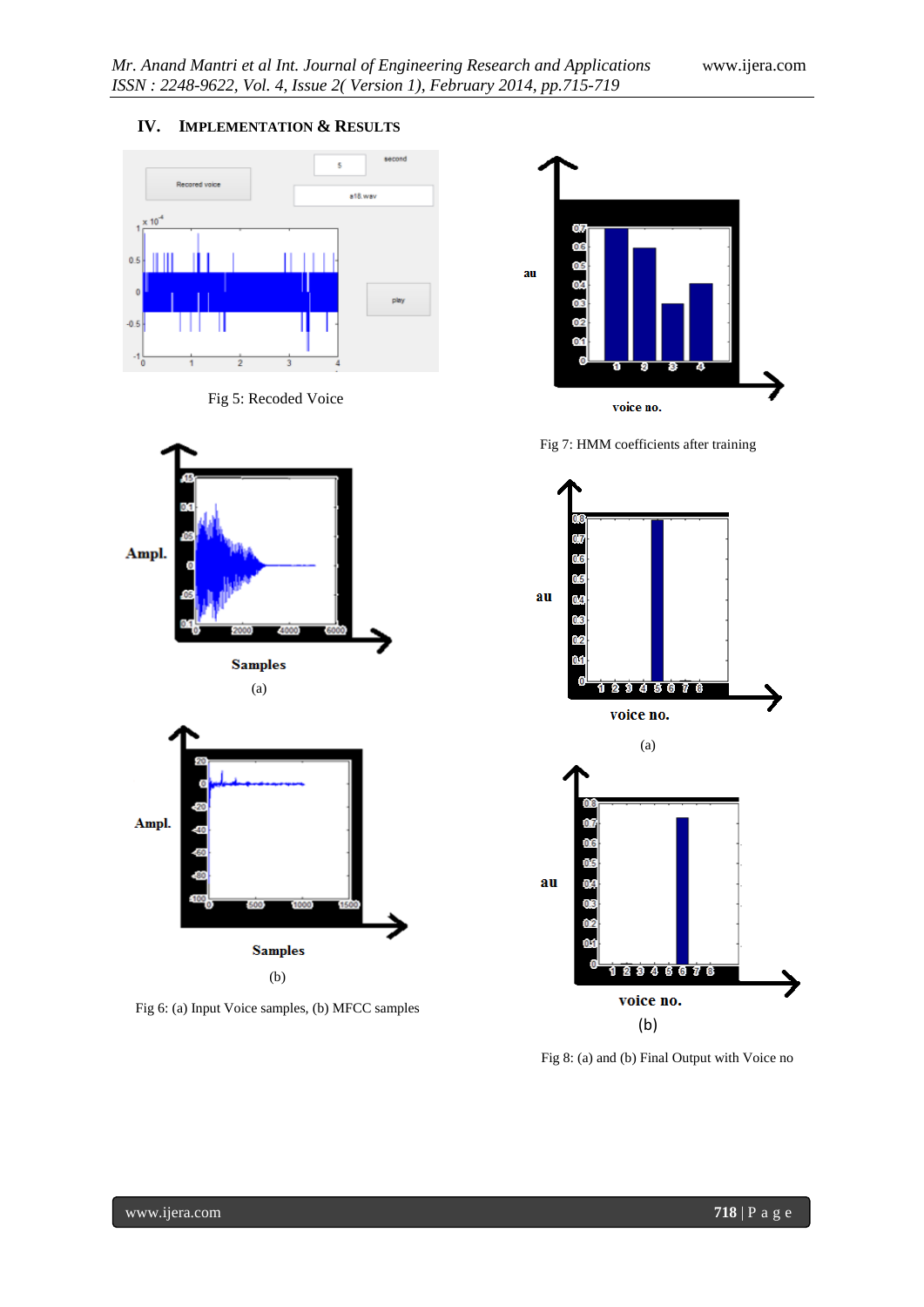# **IV. IMPLEMENTATION & RESULTS**











Fig 7: HMM coefficients after training



Fig 8: (a) and (b) Final Output with Voice no